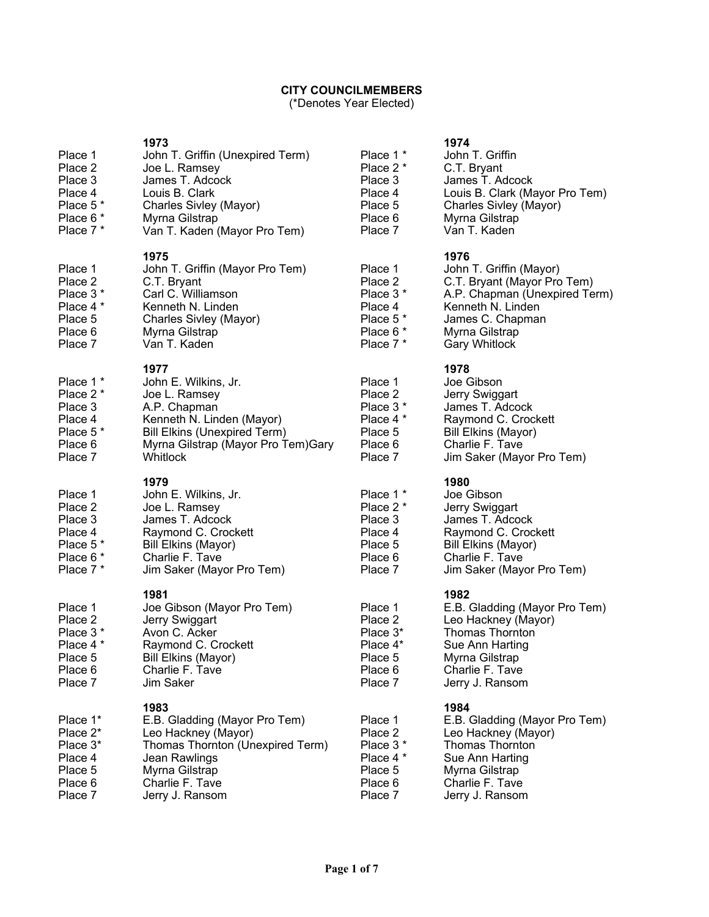## **CITY COUNCILMEMBERS**

(\*Denotes Year Elected)

| Place 1<br>Place 2<br>Place 3<br>Place 4<br>Place 5 <sup>*</sup><br>Place 6 *<br>Place 7 * | 1973<br>John T. Griffin (Unexpired Term)<br>Joe L. Ramsey<br>James T. Adcock<br>Louis B. Clark<br>Charles Sivley (Mayor)<br>Myrna Gilstrap<br>Van T. Kaden (Mayor Pro Tem)          | Place 1 *<br>Place 2 *<br>Place 3<br>Place 4<br>Place 5<br>Place 6<br>Place 7                | 1974<br>John T. Griffin<br>C.T. Bryant<br>James T. Adcock<br>Louis B. Clark (Mayor Pro Tem)<br>Charles Sivley (Mayor)<br>Myrna Gilstrap<br>Van T. Kaden                            |
|--------------------------------------------------------------------------------------------|-------------------------------------------------------------------------------------------------------------------------------------------------------------------------------------|----------------------------------------------------------------------------------------------|------------------------------------------------------------------------------------------------------------------------------------------------------------------------------------|
| Place 1<br>Place 2<br>Place 3 *<br>Place 4 *<br>Place 5<br>Place 6<br>Place 7              | 1975<br>John T. Griffin (Mayor Pro Tem)<br>C.T. Bryant<br>Carl C. Williamson<br>Kenneth N. Linden<br>Charles Sivley (Mayor)<br>Myrna Gilstrap<br>Van T. Kaden                       | Place 1<br>Place 2<br>Place 3 *<br>Place 4<br>Place 5 <sup>*</sup><br>Place 6 *<br>Place 7 * | 1976<br>John T. Griffin (Mayor)<br>C.T. Bryant (Mayor Pro Tem)<br>A.P. Chapman (Unexpired Term)<br>Kenneth N. Linden<br>James C. Chapman<br>Myrna Gilstrap<br><b>Gary Whitlock</b> |
| Place 1 *<br>Place 2 *<br>Place 3<br>Place 4<br>Place 5*<br>Place 6<br>Place 7             | 1977<br>John E. Wilkins, Jr.<br>Joe L. Ramsey<br>A.P. Chapman<br>Kenneth N. Linden (Mayor)<br><b>Bill Elkins (Unexpired Term)</b><br>Myrna Gilstrap (Mayor Pro Tem)Gary<br>Whitlock | Place 1<br>Place 2<br>Place 3 *<br>Place 4 *<br>Place 5<br>Place 6<br>Place 7                | 1978<br>Joe Gibson<br>Jerry Swiggart<br>James T. Adcock<br>Raymond C. Crockett<br>Bill Elkins (Mayor)<br>Charlie F. Tave<br>Jim Saker (Mayor Pro Tem)                              |
|                                                                                            |                                                                                                                                                                                     |                                                                                              |                                                                                                                                                                                    |
| Place 1<br>Place 2<br>Place 3<br>Place 4<br>Place 5 <sup>*</sup><br>Place 6 *<br>Place 7 * | 1979<br>John E. Wilkins, Jr.<br>Joe L. Ramsey<br>James T. Adcock<br>Raymond C. Crockett<br><b>Bill Elkins (Mayor)</b><br>Charlie F. Tave<br>Jim Saker (Mayor Pro Tem)               | Place 1 *<br>Place 2 *<br>Place 3<br>Place 4<br>Place 5<br>Place 6<br>Place 7                | 1980<br>Joe Gibson<br>Jerry Swiggart<br>James T. Adcock<br>Raymond C. Crockett<br><b>Bill Elkins (Mayor)</b><br>Charlie F. Tave<br>Jim Saker (Mayor Pro Tem)                       |
| Place 1<br>Place 2<br>Place 3 *<br>Place 4 *<br>Place 5<br>Place 6<br>Place 7              | 1981<br>Joe Gibson (Mayor Pro Tem)<br>Jerry Swiggart<br>Avon C. Acker<br>Raymond C. Crockett<br>Bill Elkins (Mayor)<br>Charlie F. Tave<br>Jim Saker                                 | Place 1<br>Place 2<br>Place 3*<br>Place 4*<br>Place 5<br>Place 6<br>Place 7                  | 1982<br>E.B. Gladding (Mayor Pro Tem)<br>Leo Hackney (Mayor)<br><b>Thomas Thornton</b><br>Sue Ann Harting<br>Myrna Gilstrap<br>Charlie F. Tave<br>Jerry J. Ransom                  |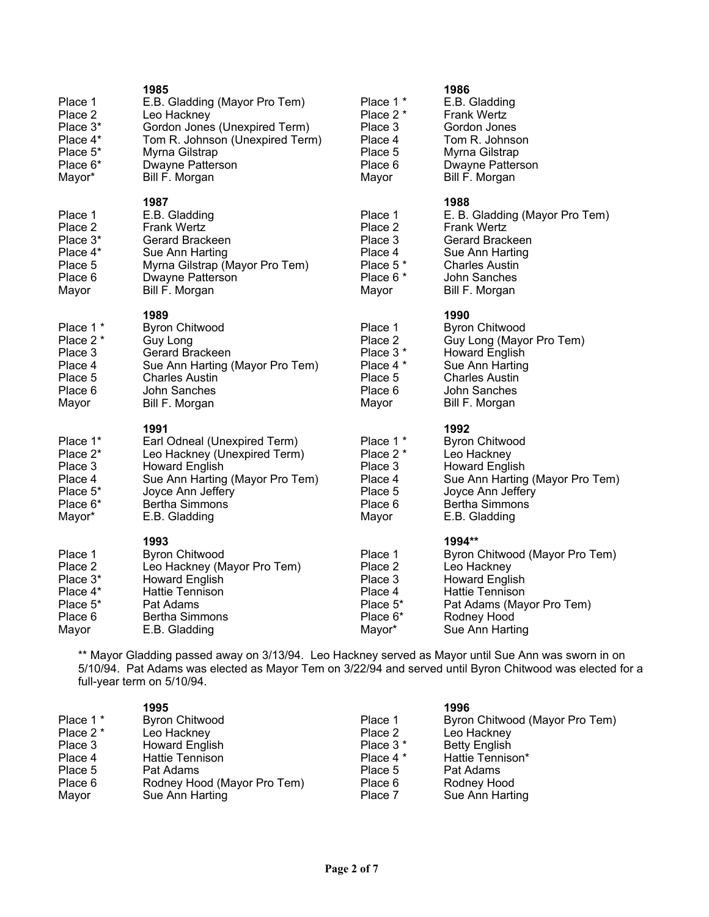| Place 1<br>Place 2<br>Place 3*                                                           | 1985<br>E.B. Gladding (Mayor Pro Tem)<br>Leo Hackney<br>Gordon Jones (Unexpired Term)                                                                                                           | Place 1 *<br>Place 2 *<br>Place 3                                           | 1986<br>E.B. Gladding<br><b>Frank Wertz</b><br>Gordon Jones<br>Tom R. Johnson                                                                                           |
|------------------------------------------------------------------------------------------|-------------------------------------------------------------------------------------------------------------------------------------------------------------------------------------------------|-----------------------------------------------------------------------------|-------------------------------------------------------------------------------------------------------------------------------------------------------------------------|
| Place 4*<br>Place 5 <sup>*</sup><br>Place 6*<br>Mayor*                                   | Tom R. Johnson (Unexpired Term)<br>Myrna Gilstrap<br>Dwayne Patterson<br>Bill F. Morgan                                                                                                         | Place 4<br>Place 5<br>Place 6<br>Mayor                                      | Myrna Gilstrap<br>Dwayne Patterson<br>Bill F. Morgan                                                                                                                    |
| Place 1<br>Place 2<br>Place 3*<br>Place 4*<br>Place 5<br>Place 6<br>Mayor                | 1987<br>E.B. Gladding<br><b>Frank Wertz</b><br>Gerard Brackeen<br>Sue Ann Harting<br>Myrna Gilstrap (Mayor Pro Tem)<br>Dwayne Patterson<br>Bill F. Morgan                                       | Place 1<br>Place 2<br>Place 3<br>Place 4<br>Place 5*<br>Place 6 *<br>Mayor  | 1988<br>E. B. Gladding (Mayor Pro Tem)<br><b>Frank Wertz</b><br>Gerard Brackeen<br>Sue Ann Harting<br><b>Charles Austin</b><br>John Sanches<br>Bill F. Morgan           |
| Place 1 *<br>Place 2 *<br>Place 3<br>Place 4<br>Place 5<br>Place 6<br>Mayor              | 1989<br><b>Byron Chitwood</b><br><b>Guy Long</b><br>Gerard Brackeen<br>Sue Ann Harting (Mayor Pro Tem)<br><b>Charles Austin</b><br>John Sanches<br>Bill F. Morgan                               | Place 1<br>Place 2<br>Place 3 *<br>Place 4 *<br>Place 5<br>Place 6<br>Mayor | 1990<br><b>Byron Chitwood</b><br>Guy Long (Mayor Pro Tem)<br>Howard English<br>Sue Ann Harting<br><b>Charles Austin</b><br>John Sanches<br>Bill F. Morgan               |
| Place 1*<br>Place 2*<br>Place 3<br>Place 4<br>Place 5 <sup>*</sup><br>Place 6*<br>Mayor* | 1991<br>Earl Odneal (Unexpired Term)<br>Leo Hackney (Unexpired Term)<br><b>Howard English</b><br>Sue Ann Harting (Mayor Pro Tem)<br>Joyce Ann Jeffery<br><b>Bertha Simmons</b><br>E.B. Gladding | Place 1 *<br>Place 2 *<br>Place 3<br>Place 4<br>Place 5<br>Place 6<br>Mayor | 1992<br><b>Byron Chitwood</b><br>Leo Hackney<br><b>Howard English</b><br>Sue Ann Harting (Mayor Pro Tem)<br>Joyce Ann Jeffery<br><b>Bertha Simmons</b><br>E.B. Gladding |
| Place 1<br>Place 2<br>Place 3*<br>Place 4*<br>Place 5*<br>Place 6<br>Mayor               | 1993<br><b>Byron Chitwood</b><br>Leo Hackney (Mayor Pro Tem)<br><b>Howard English</b><br><b>Hattie Tennison</b><br>Pat Adams<br><b>Bertha Simmons</b><br>E.B. Gladding                          | Place 1<br>Place 2<br>Place 3<br>Place 4<br>Place 5*<br>Place 6*<br>Mayor*  | 1994**<br>Byron Chitwood (Mayor Pro Tem)<br>Leo Hackney<br><b>Howard English</b><br>Hattie Tennison<br>Pat Adams (Mayor Pro Tem)<br>Rodney Hood<br>Sue Ann Harting      |

\*\* Mayor Gladding passed away on 3/13/94. Leo Hackney served as Mayor until Sue Ann was sworn in on 5/10/94. Pat Adams was elected as Mayor Tem on 3/22/94 and served until Byron Chitwood was elected for a full-year term on 5/10/94.

|           | 1995                        |                      | 1996                           |
|-----------|-----------------------------|----------------------|--------------------------------|
| Place 1 * | <b>Byron Chitwood</b>       | Place 1              | Byron Chitwood (Mayor Pro Tem) |
| Place 2 * | Leo Hackney                 | Place 2              | Leo Hackney                    |
| Place 3   | Howard English              | Place 3 <sup>*</sup> | Betty English                  |
| Place 4   | <b>Hattie Tennison</b>      | Place 4 *            | Hattie Tennison*               |
| Place 5   | Pat Adams                   | Place 5              | Pat Adams                      |
| Place 6   | Rodney Hood (Mayor Pro Tem) | Place 6              | Rodney Hood                    |
| Mayor     | Sue Ann Harting             | Place 7              | Sue Ann Harting                |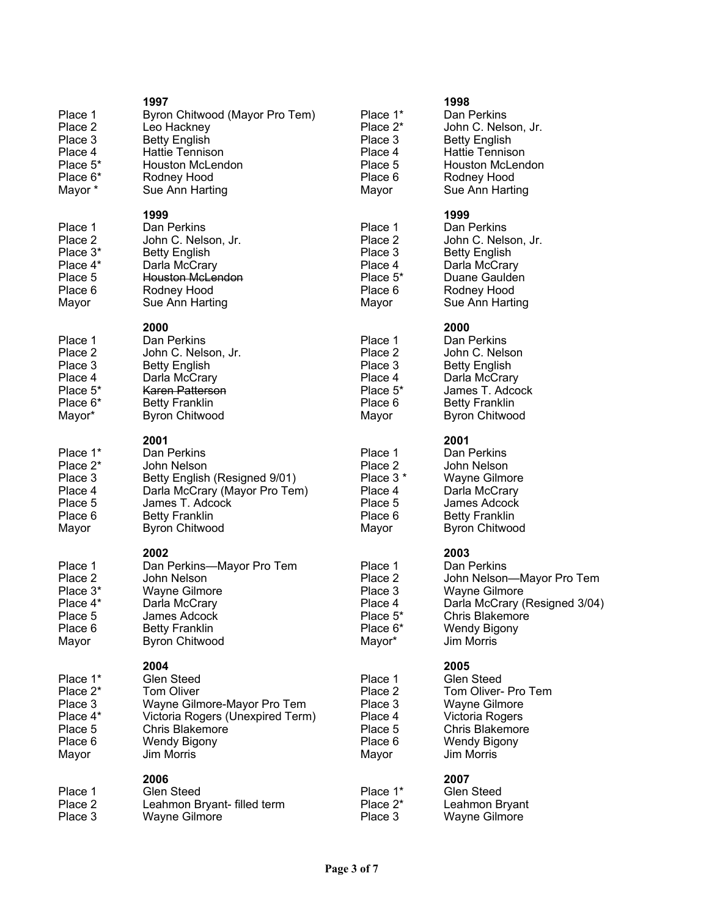| Place 1<br>Place 2<br>Place 3<br>Place 4<br>Place 5*<br>Place 6*<br>Mayor *            | 1997<br>Byron Chitwood (Mayor Pro Tem)<br>Leo Hackney<br><b>Betty English</b><br>Hattie Tennison<br><b>Houston McLendon</b><br>Rodney Hood<br>Sue Ann Harting      | Place 1*<br>Place 2*<br>Place 3<br>Place 4<br>Place 5<br>Place 6<br>Mayor  | 1998<br>Dan l<br>John<br><b>Betty</b><br>Hatti<br>Hous<br>Rodr<br>Sue                 |
|----------------------------------------------------------------------------------------|--------------------------------------------------------------------------------------------------------------------------------------------------------------------|----------------------------------------------------------------------------|---------------------------------------------------------------------------------------|
| Place 1<br>Place 2<br>Place 3*<br>Place 4*<br>Place 5<br>Place 6<br>Mayor              | 1999<br>Dan Perkins<br>John C. Nelson, Jr.<br><b>Betty English</b><br>Darla McCrary<br><b>Houston McLendon</b><br>Rodney Hood<br>Sue Ann Harting                   | Place 1<br>Place 2<br>Place 3<br>Place 4<br>Place 5*<br>Place 6<br>Mayor   | 1999<br>Dan l<br>John<br><b>Betty</b><br>Darla<br>Duar<br>Rodr<br>Sue                 |
| Place 1<br>Place 2<br>Place 3<br>Place 4<br>Place 5 <sup>*</sup><br>Place 6*<br>Mayor* | 2000<br>Dan Perkins<br>John C. Nelson, Jr.<br><b>Betty English</b><br>Darla McCrary<br>Karen Patterson<br><b>Betty Franklin</b><br><b>Byron Chitwood</b>           | Place 1<br>Place 2<br>Place 3<br>Place 4<br>Place 5*<br>Place 6<br>Mayor   | 2000<br>Dan l<br>John<br><b>Betty</b><br>Darla<br>Jame<br><b>Betty</b><br><b>Byro</b> |
| Place 1*<br>Place 2*<br>Place 3<br>Place 4<br>Place 5<br>Place 6<br>Mayor              | 2001<br>Dan Perkins<br>John Nelson<br>Betty English (Resigned 9/01)<br>Darla McCrary (Mayor Pro Tem)<br>James T. Adcock<br><b>Betty Franklin</b><br>Byron Chitwood | Place 1<br>Place 2<br>Place 3 *<br>Place 4<br>Place 5<br>Place 6<br>Mayor  | 2001<br>Dan l<br>John<br>Wayr<br>Darla<br>Jame<br><b>Betty</b><br><b>Byro</b>         |
| Place 1<br>Place 2<br>Place 3 <sup>*</sup><br>Place 4*<br>Place 5<br>Place 6<br>Mayor  | 2002<br>Dan Perkins-Mayor Pro Tem<br>John Nelson<br>Wayne Gilmore<br>Darla McCrary<br>James Adcock<br><b>Betty Franklin</b><br><b>Byron Chitwood</b>               | Place 1<br>Place 2<br>Place 3<br>Place 4<br>Place 5*<br>Place 6*<br>Mayor* | 2003<br>Dan l<br>John<br>Wayr<br>Darla<br>Chris<br>Wen<br>Jim N                       |
| Place 1*<br>Place 2*<br>Place 3<br>Place 4*<br>Place 5<br>Place 6<br>Mayor             | 2004<br>Glen Steed<br>Tom Oliver<br>Wayne Gilmore-Mayor Pro Tem<br>Victoria Rogers (Unexpired Term)<br><b>Chris Blakemore</b><br><b>Wendy Bigony</b><br>Jim Morris | Place 1<br>Place 2<br>Place 3<br>Place 4<br>Place 5<br>Place 6<br>Mayor    | 2005<br>Glen<br>Tom<br>Wayr<br>Victo<br>Chris<br>Wen<br>Jim N                         |
| Place 1<br>Place 2<br>Place 3                                                          | 2006<br>Glen Steed<br>Leahmon Bryant- filled term<br>Wayne Gilmore                                                                                                 | Place 1*<br>Place 2*<br>Place 3                                            | 2007<br>Glen<br>Leah<br>Wayr                                                          |

| асе 1* | Dan Perkins             |
|--------|-------------------------|
| асе 2* | John C. Nelson, Jr.     |
| ace 3. | <b>Betty English</b>    |
| ace 4  | <b>Hattie Tennison</b>  |
| ace 5  | <b>Houston McLendon</b> |
| асе 6  | Rodney Hood             |
| avor   | Sue Ann Harting         |
|        |                         |

| Dan Perkins          |
|----------------------|
| John C. Nelson, Jr.  |
| <b>Betty English</b> |
| Darla McCrary        |
| Duane Gaulden        |
| Rodney Hood          |
| Sue Ann Harting      |

Dan Perkins John C. Nelson Betty English Darla McCrary James T. Adcock Betty Franklin Byron Chitwood

| 1<br>2<br>$3*$<br>4<br>5 | Dan Perkins<br>John Nelson<br>Wayne Gilmore<br>Darla McCrary<br>James Adcock |
|--------------------------|------------------------------------------------------------------------------|
| 6                        | <b>Betty Franklin</b>                                                        |
|                          | <b>Byron Chitwood</b>                                                        |

| Place 1  | Dan Perkins                   |
|----------|-------------------------------|
| Place 2  | John Nelson-Mayor Pro Tem     |
| Place 3  | Wayne Gilmore                 |
| Place 4  | Darla McCrary (Resigned 3/04) |
| Place 5* | <b>Chris Blakemore</b>        |
| Place 6* | Wendy Bigony                  |
| Mayor*   | Jim Morris                    |

Glen Steed Tom Oliver- Pro Tem Wayne Gilmore Victoria Rogers Chris Blakemore Wendy Bigony Jim Morris

| $1*$  | <b>Glen Steed</b> |
|-------|-------------------|
| $2^*$ | Leahmon Bryant    |
| 3     | Wayne Gilmore     |
|       |                   |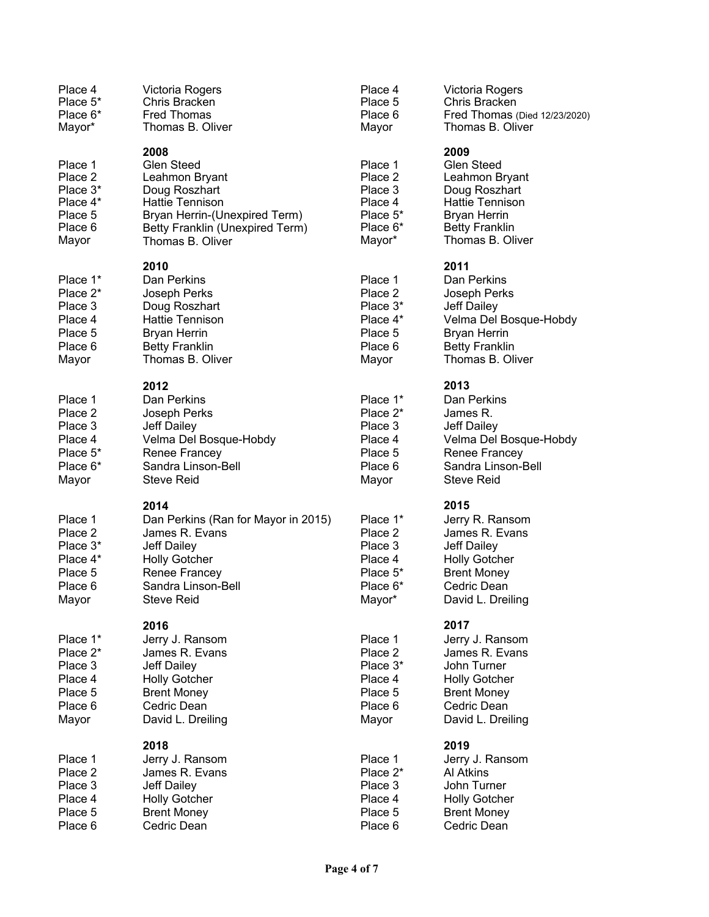| Place 4<br>Place 5*<br>Place 6*<br>Mayor*                                             | Victoria Rogers<br>Chris Bracken<br><b>Fred Thomas</b><br>Thomas B. Oliver                                                                                              | Place 4<br>Place 5<br>Place 6<br>Mayor                                                 | Victoria Rogers<br>Chris Bracken<br>Fred Thomas (Died 12/23/2020)<br>Thomas B. Oliver                                                               |
|---------------------------------------------------------------------------------------|-------------------------------------------------------------------------------------------------------------------------------------------------------------------------|----------------------------------------------------------------------------------------|-----------------------------------------------------------------------------------------------------------------------------------------------------|
| Place 1<br>Place 2<br>Place 3*<br>Place 4*<br>Place 5<br>Place 6<br>Mayor             | 2008<br><b>Glen Steed</b><br>Leahmon Bryant<br>Doug Roszhart<br>Hattie Tennison<br>Bryan Herrin-(Unexpired Term)<br>Betty Franklin (Unexpired Term)<br>Thomas B. Oliver | Place 1<br>Place 2<br>Place 3<br>Place 4<br>Place 5 <sup>*</sup><br>Place 6*<br>Mayor* | 2009<br><b>Glen Steed</b><br>Leahmon Bryant<br>Doug Roszhart<br>Hattie Tennison<br><b>Bryan Herrin</b><br><b>Betty Franklin</b><br>Thomas B. Oliver |
| Place 1*<br>Place 2*<br>Place 3<br>Place 4<br>Place 5<br>Place 6<br>Mayor             | 2010<br>Dan Perkins<br>Joseph Perks<br>Doug Roszhart<br><b>Hattie Tennison</b><br><b>Bryan Herrin</b><br><b>Betty Franklin</b><br>Thomas B. Oliver                      | Place 1<br>Place 2<br>Place 3*<br>Place 4*<br>Place 5<br>Place 6<br>Mayor              | 2011<br>Dan Perkins<br>Joseph Perks<br>Jeff Dailey<br>Velma Del Bosque-Hobdy<br><b>Bryan Herrin</b><br><b>Betty Franklin</b><br>Thomas B. Oliver    |
| Place 1<br>Place 2<br>Place 3<br>Place 4<br>Place 5 <sup>*</sup><br>Place 6*<br>Mayor | 2012<br>Dan Perkins<br>Joseph Perks<br>Jeff Dailey<br>Velma Del Bosque-Hobdy<br>Renee Francey<br>Sandra Linson-Bell<br><b>Steve Reid</b>                                | Place 1*<br>Place $2^*$<br>Place 3<br>Place 4<br>Place 5<br>Place 6<br>Mayor           | 2013<br>Dan Perkins<br>James R.<br><b>Jeff Dailey</b><br>Velma Del Bosque-Hobdy<br>Renee Francey<br>Sandra Linson-Bell<br><b>Steve Reid</b>         |
| Place 1<br>Place 2<br>Place 3*<br>Place 4*<br>Place 5<br>Place 6<br>Mayor             | 2014<br>Dan Perkins (Ran for Mayor in 2015)<br>James R. Evans<br>Jeff Dailey<br><b>Holly Gotcher</b><br>Renee Francey<br>Sandra Linson-Bell<br><b>Steve Reid</b>        | Place 1*<br>Place 2<br>Place 3<br>Place 4<br>Place 5*<br>Place 6*<br>Mayor*            | 2015<br>Jerry R. Ransom<br>James R. Evans<br>Jeff Dailey<br><b>Holly Gotcher</b><br><b>Brent Money</b><br>Cedric Dean<br>David L. Dreiling          |
| Place 1*<br>Place 2*<br>Place 3<br>Place 4<br>Place 5<br>Place 6<br>Mayor             | 2016<br>Jerry J. Ransom<br>James R. Evans<br>Jeff Dailey<br><b>Holly Gotcher</b><br><b>Brent Money</b><br>Cedric Dean<br>David L. Dreiling                              | Place 1<br>Place 2<br>Place 3*<br>Place 4<br>Place 5<br>Place 6<br>Mayor               | 2017<br>Jerry J. Ransom<br>James R. Evans<br>John Turner<br><b>Holly Gotcher</b><br><b>Brent Money</b><br>Cedric Dean<br>David L. Dreiling          |
| Place 1<br>Place 2<br>Place 3<br>Place 4<br>Place 5<br>Place 6                        | 2018<br>Jerry J. Ransom<br>James R. Evans<br>Jeff Dailey<br><b>Holly Gotcher</b><br><b>Brent Money</b><br>Cedric Dean                                                   | Place 1<br>Place 2*<br>Place 3<br>Place 4<br>Place 5<br>Place 6                        | 2019<br>Jerry J. Ransom<br>Al Atkins<br>John Turner<br><b>Holly Gotcher</b><br><b>Brent Money</b><br>Cedric Dean                                    |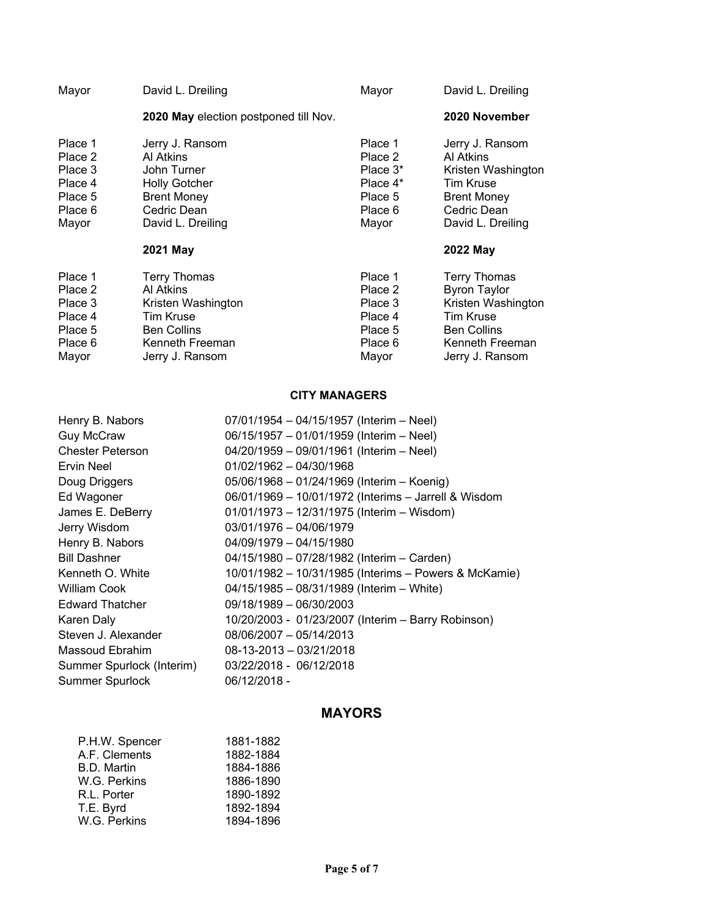| Mayor                                                                   | David L. Dreiling                                                                                                                      | Mayor                                                                        | David L. Dreiling                                                                                                                                |
|-------------------------------------------------------------------------|----------------------------------------------------------------------------------------------------------------------------------------|------------------------------------------------------------------------------|--------------------------------------------------------------------------------------------------------------------------------------------------|
|                                                                         | 2020 May election postponed till Nov.                                                                                                  |                                                                              | 2020 November                                                                                                                                    |
| Place 1<br>Place 2<br>Place 3<br>Place 4<br>Place 5<br>Place 6<br>Mayor | Jerry J. Ransom<br>Al Atkins<br>John Turner<br><b>Holly Gotcher</b><br><b>Brent Money</b><br>Cedric Dean<br>David L. Dreiling          | Place 1<br>Place 2<br>Place $3^*$<br>Place 4*<br>Place 5<br>Place 6<br>Mayor | Jerry J. Ransom<br>Al Atkins<br>Kristen Washington<br><b>Tim Kruse</b><br><b>Brent Money</b><br>Cedric Dean<br>David L. Dreiling                 |
|                                                                         | 2021 May                                                                                                                               |                                                                              | 2022 May                                                                                                                                         |
| Place 1<br>Place 2<br>Place 3<br>Place 4<br>Place 5<br>Place 6<br>Mayor | <b>Terry Thomas</b><br>Al Atkins<br>Kristen Washington<br><b>Tim Kruse</b><br><b>Ben Collins</b><br>Kenneth Freeman<br>Jerry J. Ransom | Place 1<br>Place 2<br>Place 3<br>Place 4<br>Place 5<br>Place 6<br>Mayor      | <b>Terry Thomas</b><br><b>Byron Taylor</b><br>Kristen Washington<br><b>Tim Kruse</b><br><b>Ben Collins</b><br>Kenneth Freeman<br>Jerry J. Ransom |

### **CITY MANAGERS**

| Henry B. Nabors           | $07/01/1954 - 04/15/1957$ (Interim - Neel)            |
|---------------------------|-------------------------------------------------------|
| <b>Guy McCraw</b>         | 06/15/1957 - 01/01/1959 (Interim - Neel)              |
| <b>Chester Peterson</b>   | 04/20/1959 - 09/01/1961 (Interim - Neel)              |
| Ervin Neel                | $01/02/1962 - 04/30/1968$                             |
| Doug Driggers             | 05/06/1968 - 01/24/1969 (Interim - Koenig)            |
| Ed Wagoner                | 06/01/1969 - 10/01/1972 (Interims - Jarrell & Wisdom  |
| James E. DeBerry          | 01/01/1973 - 12/31/1975 (Interim - Wisdom)            |
| Jerry Wisdom              | 03/01/1976 - 04/06/1979                               |
| Henry B. Nabors           | 04/09/1979 - 04/15/1980                               |
| <b>Bill Dashner</b>       | 04/15/1980 - 07/28/1982 (Interim - Carden)            |
| Kenneth O. White          | 10/01/1982 - 10/31/1985 (Interims - Powers & McKamie) |
| William Cook              | 04/15/1985 - 08/31/1989 (Interim - White)             |
| <b>Edward Thatcher</b>    | 09/18/1989 - 06/30/2003                               |
| Karen Daly                | 10/20/2003 - 01/23/2007 (Interim - Barry Robinson)    |
| Steven J. Alexander       | 08/06/2007 - 05/14/2013                               |
| Massoud Ebrahim           | 08-13-2013 - 03/21/2018                               |
| Summer Spurlock (Interim) | 03/22/2018 - 06/12/2018                               |
| <b>Summer Spurlock</b>    | 06/12/2018 -                                          |
|                           |                                                       |

# **MAYORS**

| P.H.W. Spencer | 1881-1882 |
|----------------|-----------|
| A.F. Clements  | 1882-1884 |
| B.D. Martin    | 1884-1886 |
| W.G. Perkins   | 1886-1890 |
| R.L. Porter    | 1890-1892 |
| T.E. Byrd      | 1892-1894 |
| W.G. Perkins   | 1894-1896 |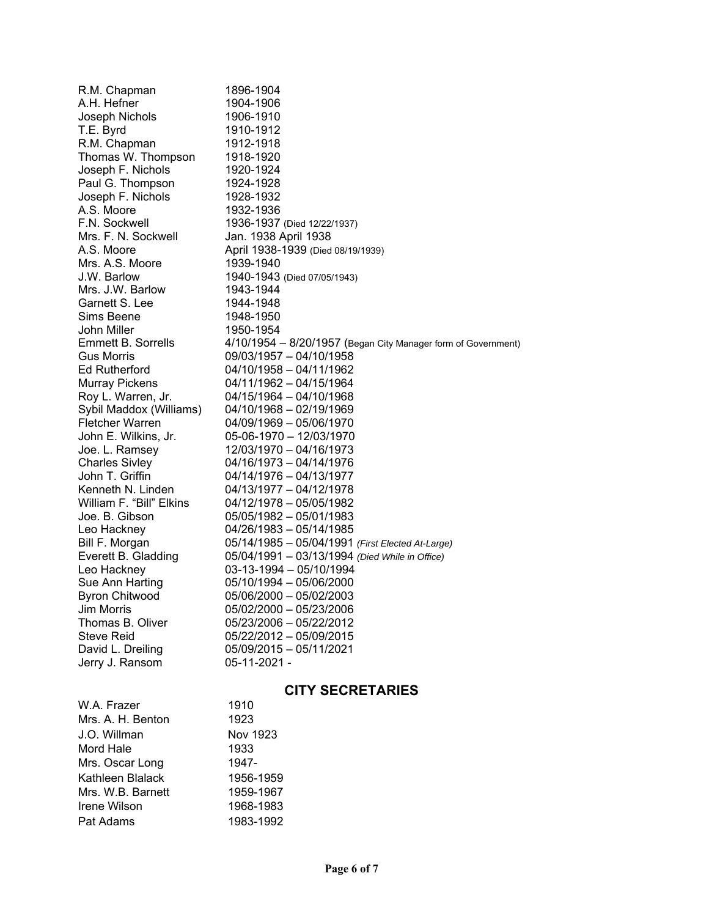| R.M. Chapman              | 1896-1904                                                     |
|---------------------------|---------------------------------------------------------------|
| A.H. Hefner               | 1904-1906                                                     |
| Joseph Nichols            | 1906-1910                                                     |
| T.E. Byrd                 | 1910-1912                                                     |
| R.M. Chapman              | 1912-1918                                                     |
| Thomas W. Thompson        | 1918-1920                                                     |
| Joseph F. Nichols         | 1920-1924                                                     |
| Paul G. Thompson          | 1924-1928                                                     |
| Joseph F. Nichols         | 1928-1932                                                     |
| A.S. Moore                | 1932-1936                                                     |
| F.N. Sockwell             | 1936-1937 (Died 12/22/1937)                                   |
| Mrs. F. N. Sockwell       | Jan. 1938 April 1938                                          |
| A.S. Moore                | April 1938-1939 (Died 08/19/1939)                             |
| Mrs. A.S. Moore           | 1939-1940                                                     |
| J.W. Barlow               | 1940-1943 (Died 07/05/1943)                                   |
| Mrs. J.W. Barlow          | 1943-1944                                                     |
| Garnett S. Lee            | 1944-1948                                                     |
| Sims Beene                | 1948-1950                                                     |
| John Miller               | 1950-1954                                                     |
| <b>Emmett B. Sorrells</b> | 4/10/1954 - 8/20/1957 (Began City Manager form of Government) |
| <b>Gus Morris</b>         | 09/03/1957 - 04/10/1958                                       |
| <b>Ed Rutherford</b>      | 04/10/1958 - 04/11/1962                                       |
| <b>Murray Pickens</b>     | 04/11/1962 - 04/15/1964                                       |
| Roy L. Warren, Jr.        | 04/15/1964 - 04/10/1968                                       |
| Sybil Maddox (Williams)   | 04/10/1968 - 02/19/1969                                       |
| <b>Fletcher Warren</b>    | 04/09/1969 - 05/06/1970                                       |
| John E. Wilkins, Jr.      | 05-06-1970 - 12/03/1970                                       |
| Joe. L. Ramsey            | 12/03/1970 - 04/16/1973                                       |
| <b>Charles Sivley</b>     | 04/16/1973 - 04/14/1976                                       |
| John T. Griffin           | 04/14/1976 - 04/13/1977                                       |
| Kenneth N. Linden         | 04/13/1977 - 04/12/1978                                       |
| William F. "Bill" Elkins  | 04/12/1978 - 05/05/1982                                       |
| Joe. B. Gibson            | 05/05/1982 - 05/01/1983                                       |
| Leo Hackney               | 04/26/1983 - 05/14/1985                                       |
| Bill F. Morgan            | 05/14/1985 - 05/04/1991 (First Elected At-Large)              |
| Everett B. Gladding       | 05/04/1991 - 03/13/1994 (Died While in Office)                |
| Leo Hackney               | 03-13-1994 - 05/10/1994                                       |
| Sue Ann Harting           | 05/10/1994 - 05/06/2000                                       |
| <b>Byron Chitwood</b>     | 05/06/2000 - 05/02/2003                                       |
| <b>Jim Morris</b>         | 05/02/2000 - 05/23/2006                                       |
| Thomas B. Oliver          | 05/23/2006 - 05/22/2012                                       |
| <b>Steve Reid</b>         | 05/22/2012 - 05/09/2015                                       |
| David L. Dreiling         | 05/09/2015 - 05/11/2021                                       |
| Jerry J. Ransom           | $05-11-2021 -$                                                |
|                           |                                                               |
|                           | <b>CITY SECRETARIES</b>                                       |
| W.A. Frazer               | 1910                                                          |
| Mrs. A. H. Benton         | 1923                                                          |
| J.O. Willman              | Nov 1923                                                      |
|                           |                                                               |
| Mord Hale                 | 1933                                                          |
| Mrs. Oscar Long           | 1947-                                                         |
| Kathleen Blalack          | 1956-1959                                                     |
| Mrs. W.B. Barnett         | 1959-1967                                                     |
| Irene Wilson              | 1968-1983                                                     |
| Pat Adams                 | 1983-1992                                                     |